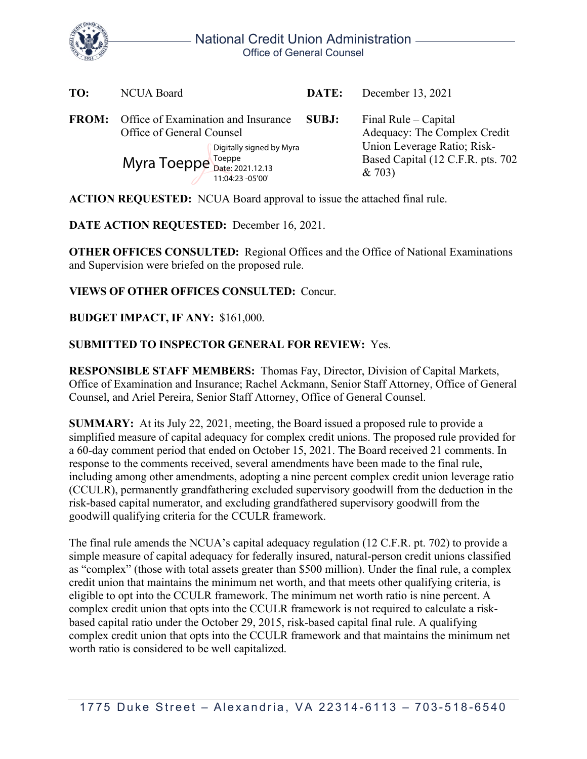

| TO:          | <b>NCUA Board</b>                                                                                                                                       | DATE: | December 13, 2021                                                                                                                   |
|--------------|---------------------------------------------------------------------------------------------------------------------------------------------------------|-------|-------------------------------------------------------------------------------------------------------------------------------------|
| <b>FROM:</b> | Office of Examination and Insurance<br>Office of General Counsel<br>Digitally signed by Myra<br>Myra Toeppe Toeppe Date: 2021.12.13<br>11:04:23 -05'00' | SUBJ: | Final Rule – Capital<br>Adequacy: The Complex Credit<br>Union Leverage Ratio; Risk-<br>Based Capital (12 C.F.R. pts. 702)<br>& 703) |

**ACTION REQUESTED:** NCUA Board approval to issue the attached final rule.

**DATE ACTION REQUESTED:** December 16, 2021.

**OTHER OFFICES CONSULTED:** Regional Offices and the Office of National Examinations and Supervision were briefed on the proposed rule.

## **VIEWS OF OTHER OFFICES CONSULTED:** Concur.

## **BUDGET IMPACT, IF ANY:** \$161,000.

## **SUBMITTED TO INSPECTOR GENERAL FOR REVIEW:** Yes.

**RESPONSIBLE STAFF MEMBERS:** Thomas Fay, Director, Division of Capital Markets, Office of Examination and Insurance; Rachel Ackmann, Senior Staff Attorney, Office of General Counsel, and Ariel Pereira, Senior Staff Attorney, Office of General Counsel.

**SUMMARY:** At its July 22, 2021, meeting, the Board issued a proposed rule to provide a simplified measure of capital adequacy for complex credit unions. The proposed rule provided for a 60-day comment period that ended on October 15, 2021. The Board received 21 comments. In response to the comments received, several amendments have been made to the final rule, including among other amendments, adopting a nine percent complex credit union leverage ratio (CCULR), permanently grandfathering excluded supervisory goodwill from the deduction in the risk-based capital numerator, and excluding grandfathered supervisory goodwill from the goodwill qualifying criteria for the CCULR framework.

The final rule amends the NCUA's capital adequacy regulation (12 C.F.R. pt. 702) to provide a simple measure of capital adequacy for federally insured, natural-person credit unions classified as "complex" (those with total assets greater than \$500 million). Under the final rule, a complex credit union that maintains the minimum net worth, and that meets other qualifying criteria, is eligible to opt into the CCULR framework. The minimum net worth ratio is nine percent. A complex credit union that opts into the CCULR framework is not required to calculate a riskbased capital ratio under the October 29, 2015, risk-based capital final rule. A qualifying complex credit union that opts into the CCULR framework and that maintains the minimum net worth ratio is considered to be well capitalized.